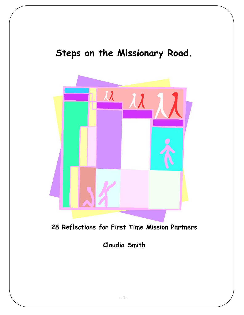# Steps on the Missionary Road.



28 Reflections for First Time Mission Partners

Claudia Smith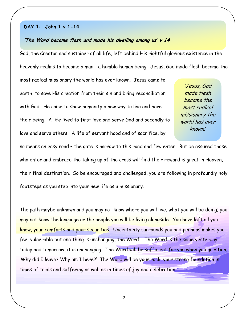# DAY 1: John 1 v 1-14

## 'The Word became flesh and made his dwelling among us' v 14

God, the Creator and sustainer of all life, left behind His rightful glorious existence in the heavenly realms to become a man - a humble human being. Jesus, God made flesh became the

most radical missionary the world has ever known. Jesus came to earth, to save His creation from their sin and bring reconciliation with God. He came to show humanity a new way to live and have their being. A life lived to first love and serve God and secondly to love and serve others. A life of servant hood and of sacrifice, by

'Jesus, God made flesh became the most radical missionary the world has ever known.'

no means an easy road – the gate is narrow to this road and few enter. But be assured those who enter and embrace the taking up of the cross will find their reward is great in Heaven, their final destination. So be encouraged and challenged, you are following in profoundly holy footsteps as you step into your new life as a missionary.

The path maybe unknown and you may not know where you will live, what you will be doing; you may not know the language or the people you will be living alongside. You have left all you knew, your comforts and your securities. Uncertainty surrounds you and perhaps makes you feel vulnerable but one thing is unchanging, the Word. The Word is the same yesterday, today and tomorrow, it is unchanging. The Word will be sufficient for you when you question, 'Why did I leave? Why am I here?' The Word will be your rock, your strong foundation in times of trials and suffering as well as in times of joy and celebration.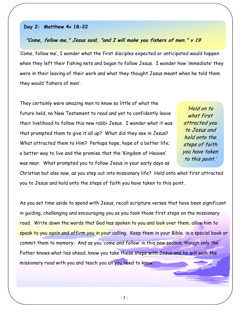# Day 2: Matthew 4v 18-22

# "Come, follow me," Jesus said, "and I will make you fishers of men." v 19

'Come, follow me', I wonder what the first disciples expected or anticipated would happen when they left their fishing nets and began to follow Jesus. I wonder how 'immediate' they were in their leaving of their work and what they thought Jesus meant when he told them they would 'fishers of men'.

They certainly were amazing men to know so little of what the future held, no New Testament to read and yet to confidently leave their livelihood to follow this new rabbi Jesus. I wonder what it was that prompted them to give it all up? What did they see in Jesus? What attracted them to Him? Perhaps hope, hope of a better life; a better way to live and the promise that the 'Kingdom of Heaven' was near. What prompted you to follow Jesus in your early days as

'Hold on to what first attracted you to Jesus and hold onto the steps of faith you have taken to this point.'

Christian but also now, as you step out into missionary life? Hold onto what first attracted you to Jesus and hold onto the steps of faith you have taken to this point.

As you set time aside to spend with Jesus, recall scripture verses that have been significant in guiding, challenging and encouraging you as you took those first steps on the missionary road. Write down the words that God has spoken to you and look over them, allow him to speak to you again and affirm you in your calling. Keep them in your Bible, in a special book or commit them to memory. And as you 'come and follow' in this new season, though only the Father knows what lies ahead, know you take these steps with Jesus and he will walk the missionary road with you and teach you all you need to know.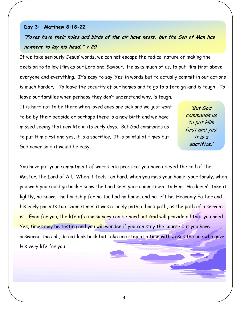# Day 3: Matthew 8:18-22

"Foxes have their holes and birds of the air have nests, but the Son of Man has nowhere to lay his head." v 20

If we take seriously Jesus' words, we can not escape the radical nature of making the decision to follow Him as our Lord and Saviour. He asks much of us, to put Him first above everyone and everything. It's easy to say 'Yes' in words but to actually commit in our actions is much harder. To leave the security of our homes and to go to a foreign land is tough. To leave our families when perhaps they don't understand why, is tough.

It is hard not to be there when loved ones are sick and we just want to be by their bedside or perhaps there is a new birth and we have missed seeing that new life in its early days. But God commands us to put Him first and yes, it is a sacrifice. It is painful at times but God never said it would be easy.

'But God commands us to put Him first and yes, it is a sacrifice.'

You have put your commitment of words into practice; you have obeyed the call of the Master, the Lord of All. When it feels too hard, when you miss your home, your family, when you wish you could go back – know the Lord sees your commitment to Him. He doesn't take it lightly, he knows the hardship for he too had no home, and he left his Heavenly Father and his early parents too. Sometimes it was a lonely path, a hard path, as the path of a servant is. Even for you, the life of a missionary can be hard but God will provide all that you need. Yes, times may be testing and you will wonder if you can stay the course but you have answered the call, do not look back but take one step at a time with Jesus the one who gave His very life for you.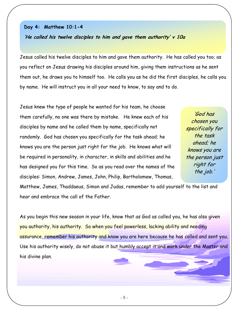## Day 4: Matthew 10:1-4

'He called his twelve disciples to him and gave them authority' v 10a

Jesus called his twelve disciples to him and gave them authority. He has called you too; as you reflect on Jesus drawing his disciples around him, giving them instructions as he sent them out, he draws you to himself too. He calls you as he did the first disciples, he calls you by name. He will instruct you in all your need to know, to say and to do.

Jesus knew the type of people he wanted for his team, he choose them carefully, no one was there by mistake. He knew each of his disciples by name and he called them by name, specifically not randomly. God has chosen you specifically for the task ahead; he knows you are the person just right for the job. He knows what will be required in personality, in character, in skills and abilities and he has designed you for this time. So as you read over the names of the disciples: Simon, Andrew, James, John, Philip, Bartholomew, Thomas,

'God has chosen you specifically for the task ahead; he knows you are the person just right for the job.'

Matthew, James, Thaddaeus, Simon and Judas, remember to add yourself to the list and hear and embrace the call of the Father.

As you begin this new season in your life, know that as God as called you, he has also given you authority, his authority. So when you feel powerless, lacking ability and needing assurance, remember his authority and know you are here because he has called and sent you. Use his authority wisely, do not abuse it but humbly accept it and work under the Master and his divine plan.

- 5 -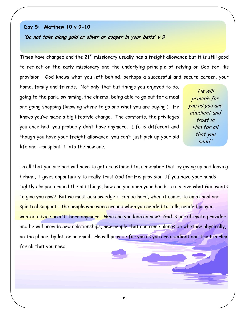# Day 5: Matthew 10 v 9-10

'Do not take along gold or silver or copper in your belts' v 9

Times have changed and the  $21<sup>st</sup>$  missionary usually has a freight allowance but it is still good to reflect on the early missionary and the underlying principle of relying on God for His provision. God knows what you left behind, perhaps a successful and secure career, your

home, family and friends. Not only that but things you enjoyed to do, going to the park, swimming, the cinema, being able to go out for a meal and going shopping (knowing where to go and what you are buying!). He knows you've made a big lifestyle change. The comforts, the privileges you once had, you probably don't have anymore. Life is different and though you have your freight allowance, you can't just pick up your old life and transplant it into the new one.

'He will provide for you as you are obedient and trust in Him for all that you need.'

In all that you are and will have to get accustomed to, remember that by giving up and leaving behind, it gives opportunity to really trust God for His provision. If you have your hands tightly clasped around the old things, how can you open your hands to receive what God wants to give you now? But we must acknowledge it can be hard, when it comes to emotional and spiritual support - the people who were around when you needed to talk, needed prayer, wanted advice aren't there anymore. Who can you lean on now? God is our ultimate provider and he will provide new relationships, new people that can come alongside whether physically, on the phone, by letter or email. He will provide for you as you are obedient and trust in Him for all that you need.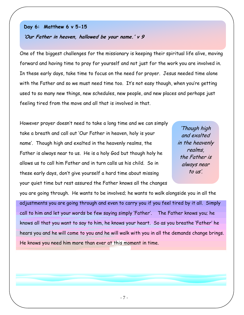# Day 6: Matthew 6 v 5-15

# 'Our Father in heaven, hallowed be your name.' v 9

One of the biggest challenges for the missionary is keeping their spiritual life alive, moving forward and having time to pray for yourself and not just for the work you are involved in. In these early days, take time to focus on the need for prayer. Jesus needed time alone with the Father and so we must need time too. It's not easy though, when you're getting used to so many new things, new schedules, new people, and new places and perhaps just feeling tired from the move and all that is involved in that.

However prayer doesn't need to take a long time and we can simply take a breath and call out 'Our Father in heaven, holy is your name'. Though high and exalted in the heavenly realms, the Father is always near to us. He is a holy God but though holy he allows us to call him Father and in turn calls us his child. So in these early days, don't give yourself a hard time about missing your quiet time but rest assured the Father knows all the changes

'Though high and exalted in the heavenly realms, the Father is always near to us'.

you are going through. He wants to be involved; he wants to walk alongside you in all the adjustments you are going through and even to carry you if you feel tired by it all. Simply call to him and let your words be few saying simply 'Father'. The Father knows you; he knows all that you want to say to him, he knows your heart. So as you breathe 'Father' he hears you and he will come to you and he will walk with you in all the demands change brings. He knows you need him more than ever at this moment in time.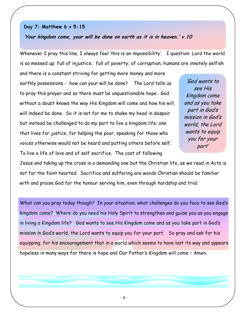# Day 7: Matthew 6 v 5-15

'Your kingdom come, your will be done on earth as it is in heaven.' v 10

Whenever I pray this line, I always feel 'this is an impossibility'. I question: Lord the world is so messed up: full of injustice; full of poverty; of corruption; humans are innately selfish

and there is a constant striving for getting more money and more earthly possessions - how can your will be done? The Lord tells us to pray this prayer and so there must be unquestionable hope. God without a doubt knows the way His Kingdom will come and how his will, will indeed be done. So it is not for me to shake my head in despair but instead be challenged to do my part to live a kingdom life: one that lives for justice, for helping the poor, speaking for those who voices otherwise would not be heard and putting others before self. To live a life of love and of self sacrifice. The cost of following

'God wants to see His Kingdom come and as you take part in God's mission in God's world, the Lord wants to equip you for your part'

Jesus and taking up the cross is a demanding one but the Christian life, as we read in Acts is not for the faint hearted. Sacrifice and suffering are words Christian should be familiar with and praise God for the honour serving him, even through hardship and trial.

What can you pray today though? In your situation, what challenges do you face to see God's kingdom come? Where do you need his Holy Spirit to strengthen and guide you as you engage in living a Kingdom life? God wants to see His Kingdom come and as you take part in God's mission in God's world, the Lord wants to equip you for your part. So pray and ask for his equipping, for his encouragement that in a world which seems to have lost its way and appears hopeless in many ways for there is hope and Our Father's Kingdom will come – Amen.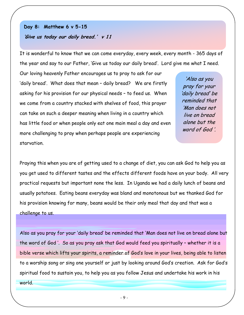# Day 8: Matthew 6 v 5-15 'Give us today our daily bread.' v 11

It is wonderful to know that we can come everyday, every week, every month - 365 days of the year and say to our Father, 'Give us today our daily bread'. Lord give me what I need.

Our loving heavenly Father encourages us to pray to ask for our 'daily bread'. What does that mean – daily bread? We are firstly asking for his provision for our physical needs – to feed us. When we come from a country stacked with shelves of food, this prayer can take on such a deeper meaning when living in a country which has little food or when people only eat one main meal a day and even more challenging to pray when perhaps people are experiencing starvation.

'Also as you pray for your 'daily bread' be reminded that 'Man does not live on bread alone but the word of God '.

Praying this when you are of getting used to a change of diet, you can ask God to help you as you get used to different tastes and the effects different foods have on your body. All very practical requests but important none the less. In Uganda we had a daily lunch of beans and usually potatoes. Eating beans everyday was bland and monotonous but we thanked God for his provision knowing for many, beans would be their only meal that day and that was a challenge to us.

Also as you pray for your 'daily bread' be reminded that 'Man does not live on bread alone but the word of God '. So as you pray ask that God would feed you spiritually – whether it is a bible verse which lifts your spirits, a reminder of God's love in your lives, being able to listen to a worship song or sing one yourself or just by looking around God's creation. Ask for God's spiritual food to sustain you, to help you as you follow Jesus and undertake his work in his

world.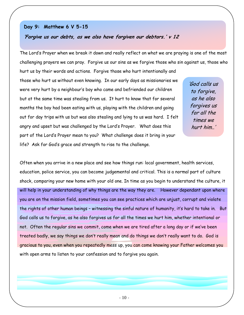# Day 9: Matthew 6 V 5-15

# 'Forgive us our debts, as we also have forgiven our debtors.' v 12

The Lord's Prayer when we break it down and really reflect on what we are praying is one of the most challenging prayers we can pray. Forgive us our sins as we forgive those who sin against us, those who

hurt us by their words and actions. Forgive those who hurt intentionally and those who hurt us without even knowing. In our early days as missionaries we were very hurt by a neighbour's boy who came and befriended our children but at the same time was stealing from us. It hurt to know that for several months the boy had been eating with us, playing with the children and going out for day trips with us but was also stealing and lying to us was hard. I felt angry and upset but was challenged by the Lord's Prayer. What does this part of the Lord's Prayer mean to you? What challenge does it bring in your life? Ask for God's grace and strength to rise to the challenge.

'God calls us to forgive, as he also forgives us for all the times we hurt him..'

Often when you arrive in a new place and see how things run: local government, health services, education, police service, you can become judgemental and critical. This is a normal part of culture shock, comparing your new home with your old one. In time as you begin to understand the culture, it will help in your understanding of why things are the way they are. However dependant upon where you are on the mission field, sometimes you can see practices which are unjust, corrupt and violate the rights of other human beings – witnessing the sinful nature of humanity, it's hard to take in. But God calls us to forgive, as he also forgives us for all the times we hurt him, whether intentional or not. Often the regular sins we commit, come when we are tired after a long day or if we've been treated badly, we say things we don't really mean and do things we don't really want to do. God is gracious to you, even when you repeatedly mess up, you can come knowing your Father welcomes you with open arms to listen to your confession and to forgive you again.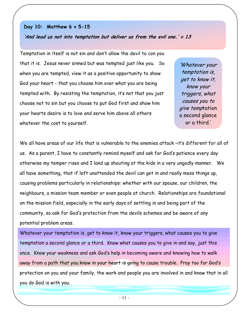# Day 10: Matthew 6 v 5-15 'And lead us not into temptation but deliver us from the evil one.' v 13

Temptation in itself is not sin and don't allow the devil to con you that it is. Jesus never sinned but was tempted just like you. So when you are tempted, view it as a positive opportunity to show God your heart - that you choose him over what you are being tempted with. By resisting the temptation, it's not that you just choose not to sin but you choose to put God first and show him your hearts desire is to love and serve him above all others whatever the cost to yourself.

'Whatever your temptation is, get to know it, know your triggers, what causes you to give temptation a second glance or a third.'

We all have areas of our life that is vulnerable to the enemies attack -it's different for all of us. As a parent, I have to constantly remind myself and ask for God's patience every day otherwise my temper rises and I land up shouting at the kids in a very ungodly manner. We all have something, that if left unattended the devil can get in and really mess things up, causing problems particularly in relationships: whether with our spouse, our children, the neighbours, a mission team member or even people at church. Relationships are foundational on the mission field, especially in the early days of settling in and being part of the community, so ask for God's protection from the devils schemes and be aware of any potential problem areas.

Whatever your temptation is, get to know it, know your triggers, what causes you to give temptation a second glance or a third. Know what causes you to give in and say, just this once. Know your weakness and ask God's help in becoming aware and knowing how to walk away from a path that you know in your heart is going to cause trouble. Pray too for God's protection on you and your family, the work and people you are involved in and know that in all you do God is with you.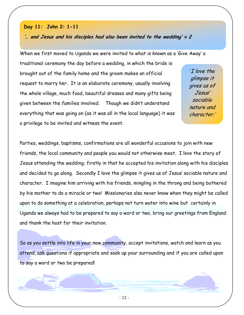# Day 11: John 2: 1-11

'… and Jesus and his disciples had also been invited to the wedding' v 2

When we first moved to Uganda we were invited to what is known as a 'Give Away' a

traditional ceremony the day before a wedding, in which the bride is brought out of the family home and the groom makes an official request to marry her. It is an elaborate ceremony, usually involving the whole village, much food, beautiful dresses and many gifts being given between the families involved. Though we didn't understand everything that was going on (as it was all in the local language) it was a privilege to be invited and witness the event.

'I love the glimpse it gives us of Jesus' sociable nature and character.'

Parties, weddings, baptisms, confirmations are all wonderful occasions to join with new friends, the local community and people you would not otherwise meet. I love the story of Jesus attending the wedding; firstly in that he accepted his invitation along with his disciples and decided to go along. Secondly I love the glimpse it gives us of Jesus' sociable nature and character. I imagine him arriving with his friends, mingling in the throng and being bothered by his mother to do a miracle or two! Missionaries also never know when they might be called upon to do something at a celebration, perhaps not turn water into wine but certainly in Uganda we always had to be prepared to say a word or two, bring our greetings from England and thank the host for their invitation.

So as you settle into life in your new community, accept invitations, watch and learn as you attend, ask questions if appropriate and soak up your surrounding and if you are called upon to say a word or two be prepared!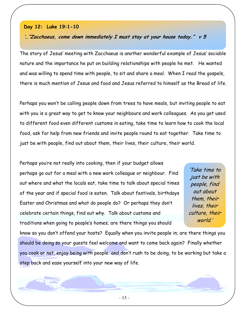# Day 12: Luke 19:1-10

# '…"Zacchaeus, come down immediately I must stay at your house today." v 5

The story of Jesus' meeting with Zacchaeus is another wonderful example of Jesus' sociable nature and the importance he put on building relationships with people he met. He wanted and was willing to spend time with people, to sit and share a meal. When I read the gospels, there is much mention of Jesus and food and Jesus referred to himself as the Bread of life.

Perhaps you won't be calling people down from trees to have meals, but inviting people to eat with you is a great way to get to know your neighbours and work colleagues. As you get used to different food even different customs in eating, take time to learn how to cook the local food, ask for help from new friends and invite people round to eat together. Take time to just be with people, find out about them, their lives, their culture, their world.

Perhaps you're not really into cooking, then if your budget allows perhaps go out for a meal with a new work colleague or neighbour. Find out where and what the locals eat, take time to talk about special times of the year and if special food is eaten. Talk about festivals, birthdays Easter and Christmas and what do people do? Or perhaps they don't celebrate certain things, find out why. Talk about customs and traditions when going to people's homes; are there things you should

'Take time to just be with people, find out about them, their lives, their culture, their world.'

know so you don't offend your hosts? Equally when you invite people in; are there things you should be doing so your guests feel welcome and want to come back again? Finally whether you cook or not, enjoy being with people and don't rush to be doing, to be working but take a step back and ease yourself into your new way of life.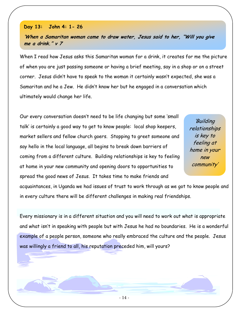# Day 13: John 4: 1- 26

'When a Samaritan woman came to draw water, Jesus said to her, "Will you give me a drink." v 7

When I read how Jesus asks this Samaritan woman for a drink, it creates for me the picture of when you are just passing someone or having a brief meeting, say in a shop or on a street corner. Jesus didn't have to speak to the woman it certainly wasn't expected, she was a Samaritan and he a Jew. He didn't know her but he engaged in a conversation which ultimately would change her life.

Our every conversation doesn't need to be life changing but some 'small talk' is certainly a good way to get to know people: local shop keepers, market sellers and fellow church goers. Stopping to greet someone and say hello in the local language, all begins to break down barriers of coming from a different culture. Building relationships is key to feeling at home in your new community and opening doors to opportunities to spread the good news of Jesus. It takes time to make friends and

'Building relationships is key to feeling at home in your new community'

acquaintances, in Uganda we had issues of trust to work through as we got to know people and in every culture there will be different challenges in making real friendships.

Every missionary is in a different situation and you will need to work out what is appropriate and what isn't in speaking with people but with Jesus he had no boundaries. He is a wonderful example of a people person, someone who really embraced the culture and the people. Jesus was willingly a friend to all, his reputation preceded him, will yours?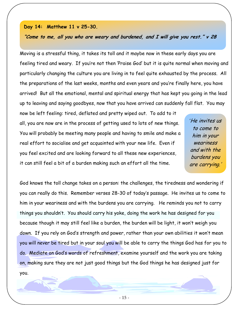### Day 14: Matthew 11 v 25-30.

# "Come to me, all you who are weary and burdened, and I will give you rest." v 28

Moving is a stressful thing, it takes its toll and it maybe now in these early days you are feeling tired and weary. If you're not then 'Praise God' but it is quite normal when moving and particularly changing the culture you are living in to feel quite exhausted by the process. All the preparations of the last weeks, months and even years and you're finally here, you have arrived! But all the emotional, mental and spiritual energy that has kept you going in the lead up to leaving and saying goodbyes, now that you have arrived can suddenly fall flat. You may

now be left feeling: tired, deflated and pretty wiped out. To add to it all, you are now are in the process of getting used to lots of new things. You will probably be meeting many people and having to smile and make a real effort to socialise and get acquainted with your new life. Even if you feel excited and are looking forward to all these new experiences, it can still feel a bit of a burden making such an effort all the time.

'He invites us to come to him in your weariness and with the burdens you are carrying.'

God knows the toll change takes on a person: the challenges, the tiredness and wondering if you can really do this. Remember verses 28-30 of today's passage. He invites us to come to him in your weariness and with the burdens you are carrying. He reminds you not to carry things you shouldn't. You should carry his yoke, doing the work he has designed for you because though it may still feel like a burden, the burden will be light, it won't weigh you down. If you rely on God's strength and power, rather than your own abilities it won't mean you will never be tired but in your soul you will be able to carry the things God has for you to do. Mediate on God's words of refreshment, examine yourself and the work you are taking on, making sure they are not just good things but the God things he has designed just for you.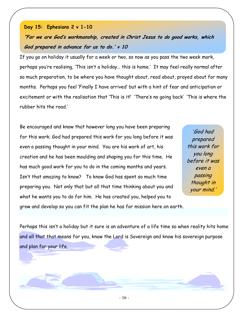God prepared in advance for us to do.' v 10

rubber hits the road.'

Day 15: Ephesians 2 v 1-10

Be encouraged and know that however long you have been preparing for this work; God had prepared this work for you long before it was even a passing thought in your mind. You are his work of art, his creation and he has been moulding and shaping you for this time. He has much good work for you to do in the coming months and years. Isn't that amazing to know? To know God has spent so much time preparing you. Not only that but all that time thinking about you and what he wants you to do for him. He has created you, helped you to grow and develop so you can fit the plan he has for mission here on earth.

If you go on holiday it usually for a week or two, so now as you pass the two week mark,

"For we are God's workmanship, created in Christ Jesus to do good works, which

perhaps you're realising, 'This isn't a holiday… this is home.' It may feel really normal after

months. Perhaps you feel 'Finally I have arrived' but with a hint of fear and anticipation or

excitement or with the realisation that 'This is it!' 'There's no going back' 'This is where the

so much preparation, to be where you have thought about, read about, prayed about for many

'God had prepared this work for you long before it was even a passing thought in your mind.'

Perhaps this isn't a holiday but it sure is an adventure of a life time so when reality hits home and all that that means for you, know the Lord is Sovereign and know his sovereign purpose and plan for your life.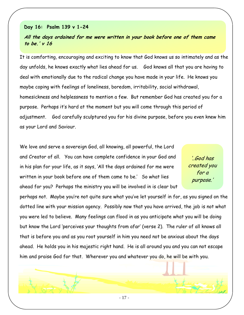# Day 16: Psalm 139 v 1-24

# All the days ordained for me were written in your book before one of them came to be.' v 16

It is comforting, encouraging and exciting to know that God knows us so intimately and as the day unfolds, he knows exactly what lies ahead for us. God knows all that you are having to deal with emotionally due to the radical change you have made in your life. He knows you maybe coping with feelings of loneliness, boredom, irritability, social withdrawal, homesickness and helplessness to mention a few. But remember God has created you for a purpose. Perhaps it's hard at the moment but you will come through this period of adjustment. God carefully sculptured you for his divine purpose, before you even knew him as your Lord and Saviour.

We love and serve a sovereign God, all knowing, all powerful, the Lord and Creator of all. You can have complete confidence in your God and in his plan for your life, as it says, 'All the days ordained for me were written in your book before one of them came to be.' So what lies ahead for you? Perhaps the ministry you will be involved in is clear but

'..God has created you for a purpose.'

perhaps not. Maybe you're not quite sure what you've let yourself in for, as you signed on the dotted line with your mission agency. Possibly now that you have arrived, the job is not what you were led to believe. Many feelings can flood in as you anticipate what you will be doing but know the Lord 'perceives your thoughts from afar' (verse 2). The ruler of all knows all that is before you and as you root yourself in him you need not be anxious about the days ahead. He holds you in his majestic right hand. He is all around you and you can not escape him and praise God for that. Wherever you and whatever you do, he will be with you.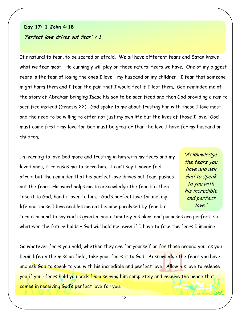# Day 17: 1 John 4:18

### 'Perfect love drives out fear' v 1

It's natural to fear, to be scared or afraid. We all have different fears and Satan knows what we fear most. He cunningly will play on those natural fears we have. One of my biggest fears is the fear of losing the ones I love – my husband or my children. I fear that someone might harm them and I fear the pain that I would feel if I lost them. God reminded me of the story of Abraham bringing Isaac his son to be sacrificed and then God providing a ram to sacrifice instead (Genesis 22). God spoke to me about trusting him with those I love most and the need to be willing to offer not just my own life but the lives of those I love. God must come first – my love for God must be greater than the love I have for my husband or children.

In learning to love God more and trusting in him with my fears and my loved ones, it releases me to serve him. I can't say I never feel afraid but the reminder that his perfect love drives out fear, pushes out the fears. His word helps me to acknowledge the fear but then take it to God, hand it over to him. God's perfect love for me, my life and those I love enables me not become paralysed by fear but

'Acknowledge the fears you have and ask God to speak to you with his incredible and perfect love.'

turn it around to say God is greater and ultimately his plans and purposes are perfect, so whatever the future holds - God will hold me, even if I have to face the fears I imagine.

So whatever fears you hold, whether they are for yourself or for those around you, as you begin life on the mission field, take your fears it to God. Acknowledge the fears you have and ask God to speak to you with his incredible and perfect love. Allow his love to release you if your fears hold you back from serving him completely and receive the peace that comes in receiving God's perfect love for you.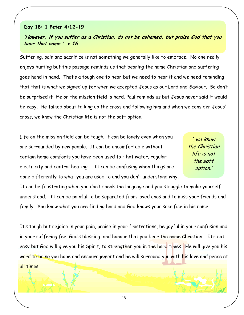# Day 18: 1 Peter 4:12-19

'However, if you suffer as a Christian, do not be ashamed, but praise God that you bear that name.' v 16

Suffering, pain and sacrifice is not something we generally like to embrace. No one really enjoys hurting but this passage reminds us that bearing the name Christian and suffering goes hand in hand. That's a tough one to hear but we need to hear it and we need reminding that that is what we signed up for when we accepted Jesus as our Lord and Saviour. So don't be surprised if life on the mission field is hard, Paul reminds us but Jesus never said it would be easy. He talked about talking up the cross and following him and when we consider Jesus' cross, we know the Christian life is not the soft option.

Life on the mission field can be tough; it can be lonely even when you are surrounded by new people. It can be uncomfortable without certain home comforts you have been used to – hot water, regular electricity and central heating! It can be confusing when things are done differently to what you are used to and you don't understand why.

'..we know the Christian life is not the soft option.'

It can be frustrating when you don't speak the language and you struggle to make yourself understood. It can be painful to be separated from loved ones and to miss your friends and family. You know what you are finding hard and God knows your sacrifice in his name.

It's tough but rejoice in your pain, praise in your frustrations, be joyful in your confusion and in your suffering feel God's blessing and honour that you bear the name Christian. It's not easy but God will give you his Spirit, to strengthen you in the hard times. He will give you his word to bring you hope and encouragement and he will surround you with his love and peace at all times.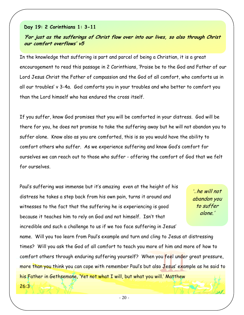# Day 19: 2 Corinthians 1: 3-11

# 'For just as the sufferings of Christ flow over into our lives, so also through Christ our comfort overflows' v5

In the knowledge that suffering is part and parcel of being a Christian, it is a great encouragement to read this passage in 2 Corinthians, 'Praise be to the God and Father of our Lord Jesus Christ the Father of compassion and the God of all comfort, who comforts us in all our troubles' v 3-4a. God comforts you in your troubles and who better to comfort you than the Lord himself who has endured the cross itself.

If you suffer, know God promises that you will be comforted in your distress. God will be there for you, he does not promise to take the suffering away but he will not abandon you to suffer alone. Know also as you are comforted, this is so you would have the ability to comfort others who suffer. As we experience suffering and know God's comfort for ourselves we can reach out to those who suffer - offering the comfort of God that we felt for ourselves.

Paul's suffering was immense but it's amazing even at the height of his distress he takes a step back from his own pain, turns it around and witnesses to the fact that the suffering he is experiencing is good because it teaches him to rely on God and not himself. Isn't that incredible and such a challenge to us if we too face suffering in Jesus'

'..he will not abandon you to suffer alone.'

name. Will you too learn from Paul's example and turn and cling to Jesus at distressing times? Will you ask the God of all comfort to teach you more of him and more of how to comfort others through enduring suffering yourself? When you feel under great pressure, more than you think you can cope with remember Paul's but also Jesus' example as he said to his Father in Gethsemane, 'Yet not what I will, but what you will.' Matthew

26:3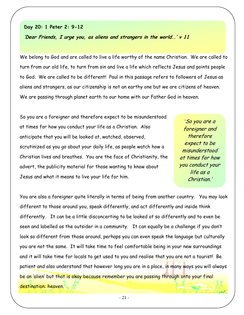# Day 20: 1 Peter 2: 9-12

'Dear Friends, I urge you, as aliens and strangers in the world..' v 11

We belong to God and are called to live a life worthy of the name Christian. We are called to turn from our old life, to turn from sin and live a life which reflects Jesus and points people to God. We are called to be different! Paul in this passage refers to followers of Jesus as aliens and strangers, as our citizenship is not an earthy one but we are citizens of heaven. We are passing through planet earth to our home with our Father God in heaven.

So you are a foreigner and therefore expect to be misunderstood at times for how you conduct your life as a Christian. Also anticipate that you will be looked at, watched, observed, scrutinized as you go about your daily life, as people watch how a Christian lives and breathes. You are the face of Christianity, the advert, the publicity material for those wanting to know about Jesus and what it means to live your life for him.

'So you are a foreigner and therefore expect to be misunderstood at times for how you conduct your life as a Christian.'

You are also a foreigner quite literally in terms of being from another country. You may look different to those around you, speak differently, and act differently and inside think differently. It can be a little disconcerting to be looked at so differently and to even be seen and labelled as the outsider in a community. It can equally be a challenge if you don't look so different from those around, perhaps you can even speak the language but culturally you are not the same. It will take time to feel comfortable being in your new surroundings and it will take time for locals to get used to you and realise that you are not a tourist! Be patient and also understand that however long you are in a place, in many ways you will always be an 'alien' but that is okay because remember you are passing through onto your final destination: heaven.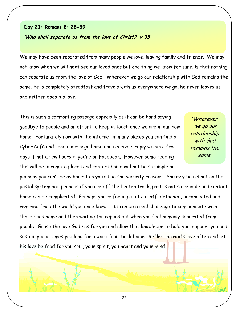# Day 21: Romans 8: 28-39

# 'Who shall separate us from the love of Christ?' v 35

We may have been separated from many people we love, leaving family and friends. We may not know when we will next see our loved ones but one thing we know for sure, is that nothing can separate us from the love of God. Wherever we go our relationship with God remains the same, he is completely steadfast and travels with us everywhere we go, he never leaves us and neither does his love.

This is such a comforting passage especially as it can be hard saying goodbye to people and an effort to keep in touch once we are in our new home. Fortunately now with the internet in many places you can find a Cyber Café and send a message home and receive a reply within a few days if not a few hours if you're on Facebook. However some reading this will be in remote places and contact home will not be so simple or

'Wherever we go our relationship with God remains the same'

perhaps you can't be as honest as you'd like for security reasons. You may be reliant on the postal system and perhaps if you are off the beaten track, post is not so reliable and contact home can be complicated. Perhaps you're feeling a bit cut off, detached, unconnected and removed from the world you once knew. It can be a real challenge to communicate with those back home and then waiting for replies but when you feel humanly separated from people. Grasp the love God has for you and allow that knowledge to hold you, support you and sustain you in times you long for a word from back home. Reflect on God's love often and let his love be food for you soul, your spirit, you heart and your mind.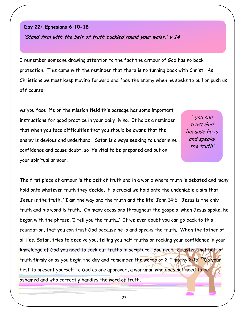# Day 22: Ephesians 6:10-18

'Stand firm with the belt of truth buckled round your waist.' v 14

I remember someone drawing attention to the fact the armour of God has no back protection. This came with the reminder that there is no turning back with Christ. As Christians we must keep moving forward and face the enemy when he seeks to pull or push us off course.

As you face life on the mission field this passage has some important instructions for good practice in your daily living. It holds a reminder that when you face difficulties that you should be aware that the enemy is devious and underhand. Satan is always seeking to undermine confidence and cause doubt, so it's vital to be prepared and put on your spiritual armour.

'..you can trust God because he is and speaks the truth'

The first piece of armour is the belt of truth and in a world where truth is debated and many hold onto whatever truth they decide, it is crucial we hold onto the undeniable claim that Jesus is the truth, ' I am the way and the truth and the life' John 14:6. Jesus is the only truth and his word is truth. On many occasions throughout the gospels, when Jesus spoke, he began with the phrase, 'I tell you the truth…' If we ever doubt you can go back to this foundation, that you can trust God because he is and speaks the truth. When the father of all lies, Satan, tries to deceive you, telling you half truths or rocking your confidence in your knowledge of God you need to seek out truths in scripture. You need to fasten that belt of truth firmly on as you begin the day and remember the words of 2 Timothy 2:15' 15Do your best to present yourself to God as one approved, a workman who does not need to be ashamed and who correctly handles the word of truth.'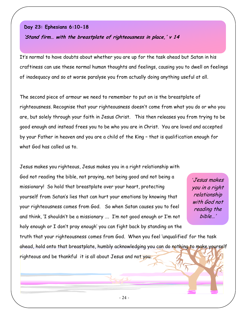# Day 23: Ephesians 6:10-18

'Stand firm… with the breastplate of righteousness in place,' v 14

It's normal to have doubts about whether you are up for the task ahead but Satan in his craftiness can use these normal human thoughts and feelings, causing you to dwell on feelings of inadequacy and so at worse paralyse you from actually doing anything useful at all.

The second piece of armour we need to remember to put on is the breastplate of righteousness. Recognise that your righteousness doesn't come from what you do or who you are, but solely through your faith in Jesus Christ. This then releases you from trying to be good enough and instead frees you to be who you are in Christ. You are loved and accepted by your Father in heaven and you are a child of the King – that is qualification enough for what God has called us to.

Jesus makes you righteous, Jesus makes you in a right relationship with God not reading the bible, not praying, not being good and not being a missionary! So hold that breastplate over your heart, protecting yourself from Satan's lies that can hurt your emotions by knowing that your righteousness comes from God. So when Satan causes you to feel and think, 'I shouldn't be a missionary …. I'm not good enough or I'm not holy enough or I don't pray enough' you can fight back by standing on the

'Jesus makes you in a right relationship with God not reading the bible…'

truth that your righteousness comes from God. When you feel 'unqualified' for the task ahead, hold onto that breastplate, humbly acknowledging you can do nothing to make yourself righteous and be thankful it is all about Jesus and not you.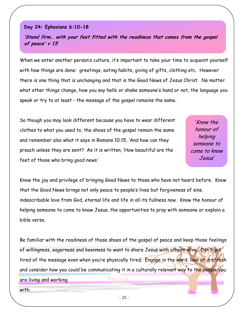# Day 24: Ephesians 6:10-18

'Stand firm… with your feet fitted with the readiness that comes from the gospel of peace' v 15

When we enter another person's culture, it's important to take your time to acquaint yourself with how things are done: greetings, eating habits, giving of gifts, clothing etc. However there is one thing that is unchanging and that is the Good News of Jesus Christ. No matter what other things change, how you say hello or shake someone's hand or not, the language you speak or try to at least - the message of the gospel remains the same.

So though you may look different because you have to wear different clothes to what you used to, the shoes of the gospel remain the same and remember also what it says in Romans 10:15, 'And how can they preach unless they are sent? As it is written, 'How beautiful are the feet of those who bring good news.'

'Know the honour of helping someone to come to know Jesus'

Know the joy and privilege of bringing Good News to those who have not heard before. Know that the Good News brings not only peace to people's lives but forgiveness of sins, indescribable love from God, eternal life and life in all its fullness now. Know the honour of helping someone to come to know Jesus, the opportunities to pray with someone or explain a bible verse.

Be familiar with the readiness of those shoes of the gospel of peace and keep those feelings of willingness, eagerness and keenness to want to share Jesus with others alive. Don't get tired of the message even when you're physically tired. Engage in the word, look at it afresh and consider how you could be communicating it in a culturally relevant way to the people you are living and working

with.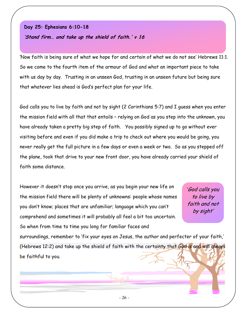# Day 25: Ephesians 6:10-18 'Stand firm… and take up the shield of faith.' v 16

'Now faith is being sure of what we hope for and certain of what we do not see' Hebrews 11:1. So we come to the fourth item of the armour of God and what an important piece to take with us day by day. Trusting in an unseen God, trusting in an unseen future but being sure that whatever lies ahead is God's perfect plan for your life.

God calls you to live by faith and not by sight (2 Corinthians 5:7) and I guess when you enter the mission field with all that that entails – relying on God as you step into the unknown, you have already taken a pretty big step of faith. You possibly signed up to go without ever visiting before and even if you did make a trip to check out where you would be going, you never really get the full picture in a few days or even a week or two. So as you stepped off the plane, took that drive to your new front door, you have already carried your shield of faith some distance.

However it doesn't stop once you arrive, as you begin your new life on the mission field there will be plenty of unknowns: people whose names you don't know; places that are unfamiliar; language which you can't comprehend and sometimes it will probably all feel a bit too uncertain. So when from time to time you long for familiar faces and

'God calls you to live by faith and not by sight'

surroundings, remember to 'fix your eyes on Jesus, the author and perfecter of your faith,' (Hebrews 12:2) and take up the shield of faith with the certainty that God is and will always be faithful to you.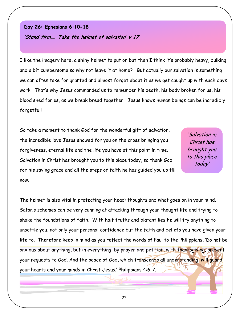# Day 26: Ephesians 6:10-18

'Stand firm…. Take the helmet of salvation' v 17

I like the imagery here, a shiny helmet to put on but then I think it's probably heavy, bulking and a bit cumbersome so why not leave it at home? But actually our salvation is something we can often take for granted and almost forget about it as we get caught up with each days work. That's why Jesus commanded us to remember his death, his body broken for us, his blood shed for us, as we break bread together. Jesus knows human beings can be incredibly forgetful!

So take a moment to thank God for the wonderful gift of salvation, the incredible love Jesus showed for you on the cross bringing you forgiveness, eternal life and the life you have at this point in time. Salvation in Christ has brought you to this place today, so thank God for his saving grace and all the steps of faith he has guided you up till now.

'Salvation in Christ has brought you to this place today'

The helmet is also vital in protecting your head: thoughts and what goes on in your mind. Satan's schemes can be very cunning at attacking through your thought life and trying to shake the foundations of faith. With half truths and blatant lies he will try anything to unsettle you, not only your personal confidence but the faith and beliefs you have given your life to. Therefore keep in mind as you reflect the words of Paul to the Philippians, 'Do not be anxious about anything, but in everything, by prayer and petition, with thanksgiving, present your requests to God. And the peace of God, which transcends all understanding, will quard your hearts and your minds in Christ Jesus.' Philippians 4:6-7.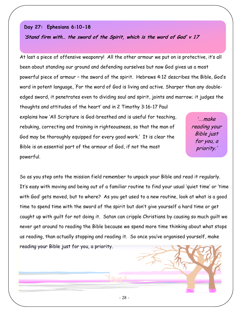# Day 27: Ephesians 6:10-18

'Stand firm with… the sword of the Spirit, which is the word of God' v 17

At last a piece of offensive weaponry! All the other armour we put on is protective, it's all been about standing our ground and defending ourselves but now God gives us a most powerful piece of armour – the sword of the spirit. Hebrews 4:12 describes the Bible, God's word in potent language, ' For the word of God is living and active. Sharper than any doubleedged sword, it penetrates even to dividing soul and spirit, joints and marrow; it judges the thoughts and attitudes of the heart' and in 2 Timothy 3:16-17 Paul explains how 'All Scripture is God-breathed and is useful for teaching, rebuking, correcting and training in righteousness, so that the man of God may be thoroughly equipped for every good work.' It is clear the Bible is an essential part of the armour of God, if not the most powerful. '…make reading your Bible just for you, a priority.'

So as you step onto the mission field remember to unpack your Bible and read it regularly. It's easy with moving and being out of a familiar routine to find your usual 'quiet time' or 'time with God' gets moved, but to where? As you get used to a new routine, look at what is a good time to spend time with the sword of the spirit but don't give yourself a hard time or get caught up with guilt for not doing it. Satan can cripple Christians by causing so much guilt we never get around to reading the Bible because we spend more time thinking about what stops us reading, than actually stopping and reading it. So once you've organised yourself, make reading your Bible just for you, a priority.